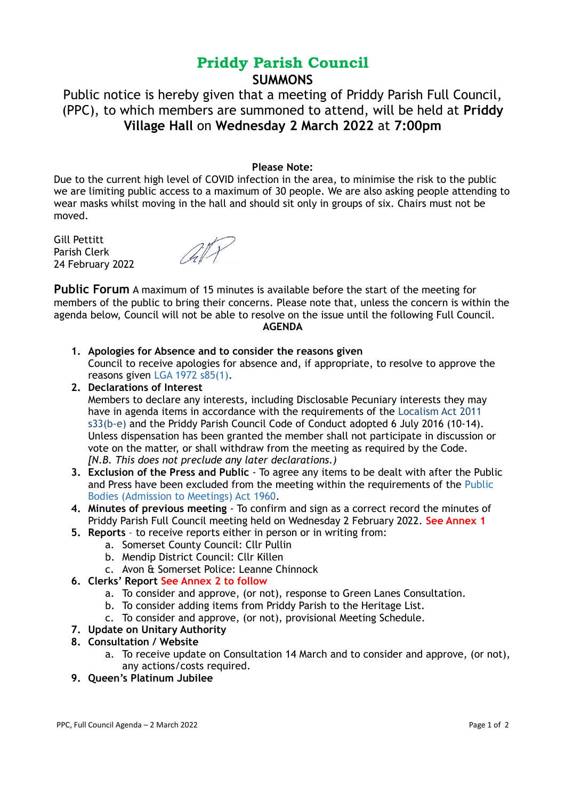# **Priddy Parish Council SUMMONS**

Public notice is hereby given that a meeting of Priddy Parish Full Council, (PPC), to which members are summoned to attend, will be held at **Priddy Village Hall** on **Wednesday 2 March 2022** at **7:00pm**

## **Please Note:**

Due to the current high level of COVID infection in the area, to minimise the risk to the public we are limiting public access to a maximum of 30 people. We are also asking people attending to wear masks whilst moving in the hall and should sit only in groups of six. Chairs must not be moved.

Gill Pettitt Parish Clerk 24 February 2022



**Public Forum** A maximum of 15 minutes is available before the start of the meeting for members of the public to bring their concerns. Please note that, unless the concern is within the agenda below, Council will not be able to resolve on the issue until the following Full Council. **AGENDA**

- **1. Apologies for Absence and to consider the reasons given**  Council to receive apologies for absence and, if appropriate, to resolve to approve the reasons given LGA 1972 s85(1).
- **2. Declarations of Interest**  Members to declare any interests, including Disclosable Pecuniary interests they may have in agenda items in accordance with the requirements of the Localism Act 2011 s33(b-e) and the Priddy Parish Council Code of Conduct adopted 6 July 2016 (10-14). Unless dispensation has been granted the member shall not participate in discussion or vote on the matter, or shall withdraw from the meeting as required by the Code. *[N.B. This does not preclude any later declarations.)*
- **3. Exclusion of the Press and Public** To agree any items to be dealt with after the Public and Press have been excluded from the meeting within the requirements of the Public Bodies (Admission to Meetings) Act 1960.
- **4. Minutes of previous meeting** To confirm and sign as a correct record the minutes of Priddy Parish Full Council meeting held on Wednesday 2 February 2022. **See Annex 1**
- **5. Reports** to receive reports either in person or in writing from:
	- a. Somerset County Council: Cllr Pullin
	- b. Mendip District Council: Cllr Killen
	- c. Avon & Somerset Police: Leanne Chinnock
- **6. Clerks' Report See Annex 2 to follow**
	- a. To consider and approve, (or not), response to Green Lanes Consultation.
	- b. To consider adding items from Priddy Parish to the Heritage List.
	- c. To consider and approve, (or not), provisional Meeting Schedule.
- **7. Update on Unitary Authority**

# **8. Consultation / Website**

- a. To receive update on Consultation 14 March and to consider and approve, (or not), any actions/costs required.
- **9. Queen's Platinum Jubilee**